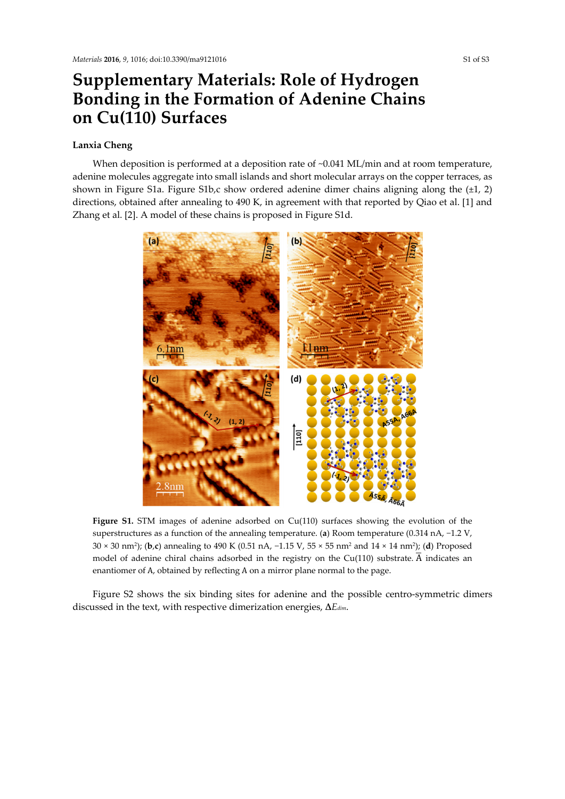## **Supplementary Materials: Role of Hydrogen Bonding in the Formation of Adenine Chains on Cu(110) Surfaces**

## **Lanxia Cheng**

When deposition is performed at a deposition rate of ~0.041 ML/min and at room temperature, adenine molecules aggregate into small islands and short molecular arrays on the copper terraces, as shown in Figure S1a. Figure S1b,c show ordered adenine dimer chains aligning along the  $(\pm 1, 2)$ directions, obtained after annealing to 490 K, in agreement with that reported by Qiao et al. [1] and Zhang et al. [2]. A model of these chains is proposed in Figure S1d.



Figure S1. STM images of adenine adsorbed on Cu(110) surfaces showing the evolution of the superstructures as a function of the annealing temperature. (**a**) Room temperature (0.314 nA, −1.2 V, 30 × 30 nm2); (**b**,**c**) annealing to 490 K (0.51 nA, −1.15 V, 55 × 55 nm2 and 14 × 14 nm2); (**d**) Proposed model of adenine chiral chains adsorbed in the registry on the Cu(110) substrate.  $\overline{A}$  indicates an enantiomer of A, obtained by reflecting A on a mirror plane normal to the page.

Figure S2 shows the six binding sites for adenine and the possible centro-symmetric dimers discussed in the text, with respective dimerization energies, **∆***Edim*.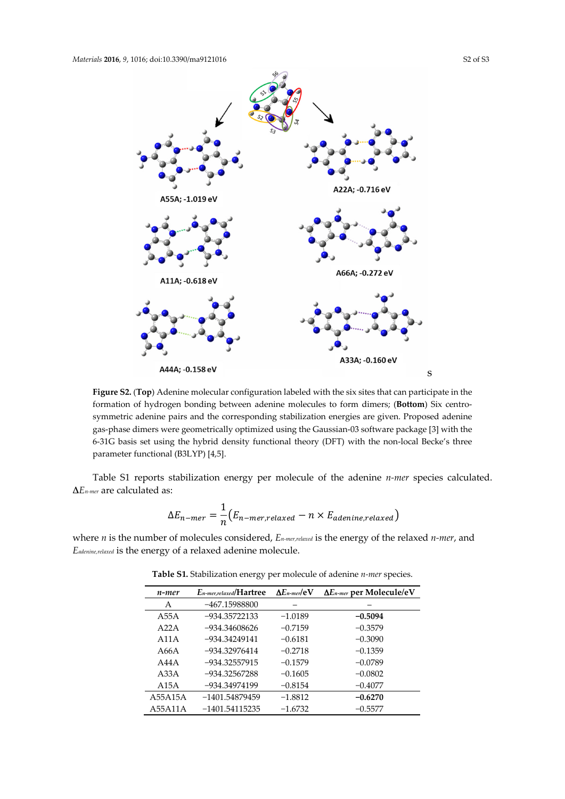

**Figure S2.** (**Top**) Adenine molecular configuration labeled with the six sites that can participate in the formation of hydrogen bonding between adenine molecules to form dimers; (**Bottom**) Six centrosymmetric adenine pairs and the corresponding stabilization energies are given. Proposed adenine gas-phase dimers were geometrically optimized using the Gaussian-03 software package [3] with the 6-31G basis set using the hybrid density functional theory (DFT) with the non-local Becke's three parameter functional (B3LYP) [4,5].

Table S1 reports stabilization energy per molecule of the adenine *n-mer* species calculated. **∆***En-mer* are calculated as:

$$
\Delta E_{n-mer} = \frac{1}{n} (E_{n-mer, relaxed} - n \times E_{adenine, relaxed})
$$

where *n* is the number of molecules considered, *En-mer,relaxed* is the energy of the relaxed *n-mer*, and *Eadenine,relaxed* is the energy of a relaxed adenine molecule.

| n-mer   | $E_{n-mer, relaxed}/Hartree$ | $\Delta E$ n-mer/ $e$ V | $\Delta E_{n-mer}$ per Molecule/eV |
|---------|------------------------------|-------------------------|------------------------------------|
| А       | $-467.15988800$              |                         |                                    |
| A55A    | $-934.35722133$              | $-1.0189$               | $-0.5094$                          |
| A22A    | $-934.34608626$              | $-0.7159$               | $-0.3579$                          |
| A11A    | $-934.34249141$              | $-0.6181$               | $-0.3090$                          |
| A66A    | $-934.32976414$              | $-0.2718$               | $-0.1359$                          |
| A44A    | $-934.32557915$              | $-0.1579$               | $-0.0789$                          |
| A33A    | $-934.32567288$              | $-0.1605$               | $-0.0802$                          |
| A15A    | -934.34974199                | $-0.8154$               | $-0.4077$                          |
| A55A15A | $-1401.54879459$             | $-1.8812$               | $-0.6270$                          |
| A55A11A | $-1401.54115235$             | $-1.6732$               | $-0.5577$                          |

**Table S1.** Stabilization energy per molecule of adenine *n-mer* species.